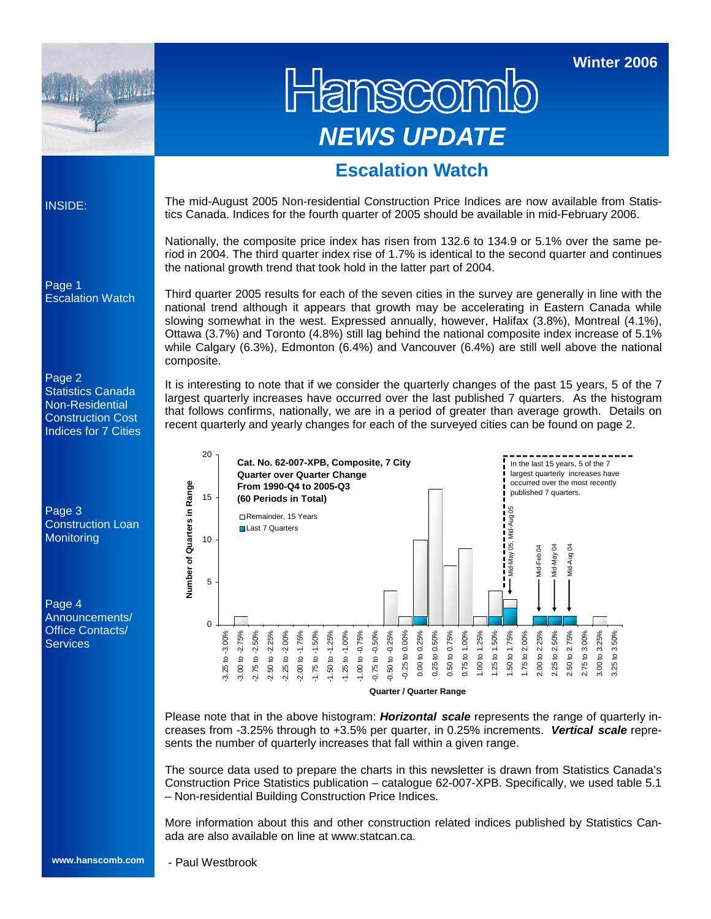

Hanscomib *NEWS UPDATE* 

**Winter 2006** 

### **Escalation Watch**

INSIDE:

The mid-August 2005 Non-residential Construction Price Indices are now available from Statistics Canada. Indices for the fourth quarter of 2005 should be available in mid-February 2006.

Nationally, the composite price index has risen from 132.6 to 134.9 or 5.1% over the same period in 2004. The third quarter index rise of 1.7% is identical to the second quarter and continues the national growth trend that took hold in the latter part of 2004.

Third quarter 2005 results for each of the seven cities in the survey are generally in line with the national trend although it appears that growth may be accelerating in Eastern Canada while slowing somewhat in the west. Expressed annually, however, Halifax (3.8%), Montreal (4.1%), Ottawa (3.7%) and Toronto (4.8%) still lag behind the national composite index increase of 5.1% while Calgary (6.3%), Edmonton (6.4%) and Vancouver (6.4%) are still well above the national composite.

It is interesting to note that if we consider the quarterly changes of the past 15 years, 5 of the 7 largest quarterly increases have occurred over the last published 7 quarters. As the histogram that follows confirms, nationally, we are in a period of greater than average growth. Details on recent quarterly and yearly changes for each of the surveyed cities can be found on page 2.



Please note that in the above histogram: *Horizontal scale* represents the range of quarterly increases from -3.25% through to +3.5% per quarter, in 0.25% increments. *Vertical scale* represents the number of quarterly increases that fall within a given range.

The source data used to prepare the charts in this newsletter is drawn from Statistics Canada's Construction Price Statistics publication – catalogue 62-007-XPB. Specifically, we used table 5.1 – Non-residential Building Construction Price Indices.

More information about this and other construction related indices published by Statistics Canada are also available on line at www.statcan.ca.

Page 1 Escalation Watch

Page 2 Statistics Canada Non-Residential Construction Cost Indices for 7 Cities

Page 3 Construction Loan **Monitoring** 

Page 4 Announcements/ Office Contacts/ **Services**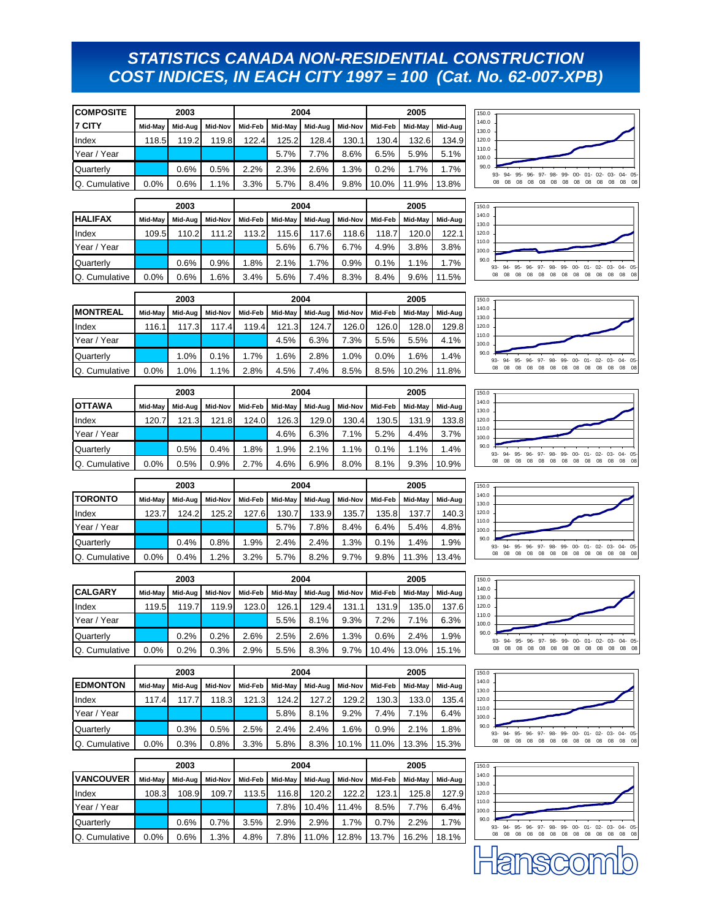### *STATISTICS CANADA NON-RESIDENTIAL CONSTRUCTION COST INDICES, IN EACH CITY 1997 = 100 (Cat. No. 62-007-XPB)*

| <b>COMPOSITE</b>     |         | 2003    |         |         |         | 2004    |         |         | 2005    |         |
|----------------------|---------|---------|---------|---------|---------|---------|---------|---------|---------|---------|
| I7 CITY              | Mid-May | Mid-Aug | Mid-Nov | Mid-Feb | Mid-May | Mid-Aug | Mid-Nov | Mid-Feb | Mid-May | Mid-Aug |
| Index                | 118.5   | 119.2   | 119.8   | 122.4   | 125.2   | 128.4   | 130.1   | 130.4   | 132.6   | 134.9   |
| Year / Year          |         |         |         |         | 5.7%    | 7.7%    | 8.6%    | 6.5%    | 5.9%    | 5.1%    |
| Quarterly            |         | 0.6%    | 0.5%    | 2.2%    | 2.3%    | 2.6%    | 1.3%    | 0.2%    | 1.7%    | 1.7%    |
| <b>Q.</b> Cumulative | 0.0%    | 0.6%    | 1.1%    | 3.3%    | 5.7%    | 8.4%    | 9.8%    | 10.0%   | 11.9%   | 13.8%   |

|                      | 2003    |         |         |         |         | 2004    | 2005    |         |         |         |
|----------------------|---------|---------|---------|---------|---------|---------|---------|---------|---------|---------|
| <b>HALIFAX</b>       | Mid-May | Mid-Aua | Mid-Nov | Mid-Feb | Mid-May | Mid-Aug | Mid-Nov | Mid-Feb | Mid-May | Mid-Aug |
| Index                | 109.5   | 110.2   | 111.2   | 113.2   | 115.6   | 117.6   | 118.6   | 118.7   | 120.0   | 122.1   |
| Year / Year          |         |         |         |         | 5.6%    | 6.7%    | 6.7%    | 4.9%    | 3.8%    | 3.8%    |
| Quarterly            |         | 0.6%    | 0.9%    | 1.8%    | 2.1%    | 1.7%    | 0.9%    | 0.1%    | 1.1%    | 1.7%    |
| <b>Q.</b> Cumulative | 0.0%    | 0.6%    | 1.6%    | 3.4%    | 5.6%    | 7.4%    | 8.3%    | 8.4%    | 9.6%    | 11.5%   |





|                 |         | 2003    |         |         |         | 2004    |         |         | 2005    |         |
|-----------------|---------|---------|---------|---------|---------|---------|---------|---------|---------|---------|
| <b>MONTREAL</b> | Mid-May | Mid-Aug | Mid-Nov | Mid-Feb | Mid-May | Mid-Aug | Mid-Nov | Mid-Feb | Mid-May | Mid-Aug |
| Index           | 116.1   | 117.3   | 117.4   | 119.4   | 121.3   | 124.7   | 126.0   | 126.0   | 128.0   | 129.8   |
| Year / Year     |         |         |         |         | 4.5%    | 6.3%    | 7.3%    | 5.5%    | 5.5%    | 4.1%    |
| Quarterly       |         | 1.0%    | 0.1%    | 1.7%    | 1.6%    | 2.8%    | 1.0%    | 0.0%    | 1.6%    | 1.4%    |
| Q. Cumulative   | 0.0%    | 1.0%    | 1.1%    | 2.8%    | 4.5%    | 7.4%    | 8.5%    | 8.5%    | 10.2%   | 11.8%   |

|                | 2003    |         |         |         |         | 2004    | 2005    |         |         |         |
|----------------|---------|---------|---------|---------|---------|---------|---------|---------|---------|---------|
| <b>IOTTAWA</b> | Mid-May | Mid-Aug | Mid-Nov | Mid-Feb | Mid-May | Mid-Aug | Mid-Nov | Mid-Feb | Mid-May | Mid-Aug |
| Index          | 120.7   | 121.3   | 121.8   | 124.0   | 126.3   | 129.0   | 130.4   | 130.5   | 131.9   | 133.8   |
| Year / Year    |         |         |         |         | 4.6%    | 6.3%    | 7.1%    | 5.2%    | 4.4%    | 3.7%    |
| Quarterly      |         | 0.5%    | 0.4%    | 1.8%    | 1.9%    | 2.1%    | 1.1%    | 0.1%    | 1.1%    | 1.4%    |
| Q. Cumulative  | $0.0\%$ | 0.5%    | 0.9%    | 2.7%    | 4.6%    | 6.9%    | 8.0%    | 8.1%    | 9.3%    | 10.9%   |

|               | 2003    |         |         |         |         | 2004    | 2005    |         |         |         |
|---------------|---------|---------|---------|---------|---------|---------|---------|---------|---------|---------|
| Itoronto      | Mid-May | Mid-Aug | Mid-Nov | Mid-Feb | Mid-May | Mid-Aug | Mid-Nov | Mid-Feb | Mid-May | Mid-Aug |
| Index         | 123.7   | 124.2   | 125.2   | 127.6   | 130.7   | 133.9   | 135.7   | 135.8   | 137.    | 140.3   |
| Year / Year   |         |         |         |         | 5.7%    | 7.8%    | 8.4%    | 6.4%    | 5.4%    | 4.8%    |
| Quarterly     |         | 0.4%    | 0.8%    | 1.9%    | 2.4%    | 2.4%    | 1.3%    | 0.1%    | 1.4%    | 1.9%    |
| Q. Cumulative | $0.0\%$ | 0.4%    | 1.2%    | 3.2%    | 5.7%    | 8.2%    | 9.7%    | 9.8%    | 11.3%   | 13.4%   |

|                | 2003    |         |         |         |       | 2004            | 2005    |         |         |         |
|----------------|---------|---------|---------|---------|-------|-----------------|---------|---------|---------|---------|
| <b>CALGARY</b> | Mid-May | Mid-Aug | Mid-Nov | Mid-Feb |       | Mid-May Mid-Aug | Mid-Nov | Mid-Feb | Mid-May | Mid-Aua |
| Index          | 119.5   | 119.7   | 119.9   | 123.0   | 126.1 | 129.4           | 131.1   | 131.9   | 135.0   | 137.6   |
| Year / Year    |         |         |         |         | 5.5%  | 8.1%            | 9.3%    | 7.2%    | 7.1%    | 6.3%    |
| Quarterly      |         | 0.2%    | 0.2%    | 2.6%    | 2.5%  | 2.6%            | 1.3%    | 0.6%    | 2.4%    | 1.9%    |
| Q. Cumulative  | 0.0%    | 0.2%    | 0.3%    | 2.9%    | 5.5%  | 8.3%            | 9.7%    | 10.4%   | 13.0%   | 15.1%   |

|                  | 2003    |         |         |         |         | 2004    | 2005    |         |         |         |
|------------------|---------|---------|---------|---------|---------|---------|---------|---------|---------|---------|
| <b>IEDMONTON</b> | Mid-May | Mid-Aug | Mid-Nov | Mid-Feb | Mid-May | Mid-Aug | Mid-Nov | Mid-Feb | Mid-May | Mid-Aug |
| Index            | 117.4   | 117.7   | 118.3   | 121.3   | 124.2   | 127.2   | 129.2   | 130.3   | 133.0   | 135.4   |
| Year / Year      |         |         |         |         | 5.8%    | 8.1%    | 9.2%    | 7.4%    | 7.1%    | 6.4%    |
| Quarterly        |         | 0.3%    | 0.5%    | 2.5%    | 2.4%    | 2.4%    | 1.6%    | 0.9%    | 2.1%    | 1.8%    |
| Q. Cumulative    | 0.0%    | 0.3%    | 0.8%    | 3.3%    | 5.8%    | 8.3%    | 10.1%   | 11.0%   | 13.3%   | 15.3%   |

|                  | 2003    |         |         |         |         | 2004    | 2005    |         |         |         |
|------------------|---------|---------|---------|---------|---------|---------|---------|---------|---------|---------|
| <b>VANCOUVER</b> | Mid-May | Mid-Aug | Mid-Nov | Mid-Feb | Mid-May | Mid-Aug | Mid-Nov | Mid-Feb | Mid-May | Mid-Aug |
| Index            | 108.3   | 108.9   | 109.7   | 113.5   | 116.8   | 120.2   | 122.2   | 123.1   | 125.8   | 127.9   |
| Year / Year      |         |         |         |         | 7.8%    | 10.4%   | 11.4%   | 8.5%    | 7.7%    | 6.4%    |
| Quarterly        |         | 0.6%    | 0.7%    | 3.5%    | 2.9%    | 2.9%    | 1.7%    | 0.7%    | 2.2%    | 1.7%    |
| Q. Cumulative    | 0.0%    | 0.6%    | 1.3%    | 4.8%    | 7.8%    | 11.0%   | 12.8%   | 13.7%   | 16.2%   | 18.1%   |











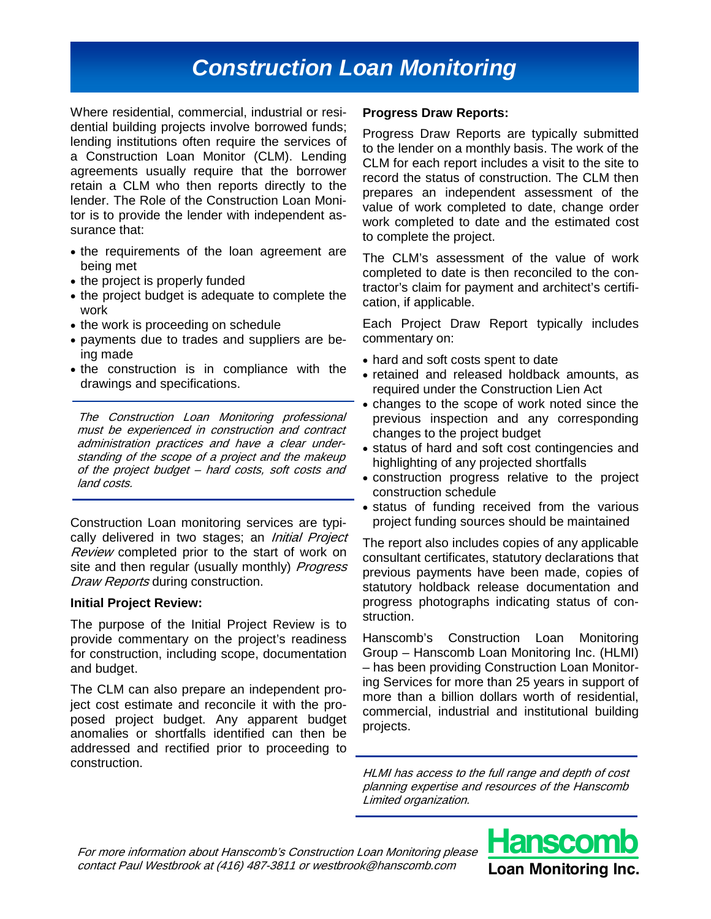# *Construction Loan Monitoring*

Where residential, commercial, industrial or residential building projects involve borrowed funds; lending institutions often require the services of a Construction Loan Monitor (CLM). Lending agreements usually require that the borrower retain a CLM who then reports directly to the lender. The Role of the Construction Loan Monitor is to provide the lender with independent assurance that:

- the requirements of the loan agreement are being met
- the project is properly funded
- the project budget is adequate to complete the work
- the work is proceeding on schedule
- payments due to trades and suppliers are being made
- the construction is in compliance with the drawings and specifications.

The Construction Loan Monitoring professional must be experienced in construction and contract administration practices and have a clear understanding of the scope of a project and the makeup of the project budget – hard costs, soft costs and land costs.

Construction Loan monitoring services are typically delivered in two stages; an *Initial Project* Review completed prior to the start of work on site and then regular (usually monthly) Progress Draw Reports during construction.

#### **Initial Project Review:**

The purpose of the Initial Project Review is to provide commentary on the project's readiness for construction, including scope, documentation and budget.

The CLM can also prepare an independent project cost estimate and reconcile it with the proposed project budget. Any apparent budget anomalies or shortfalls identified can then be addressed and rectified prior to proceeding to construction.

#### **Progress Draw Reports:**

Progress Draw Reports are typically submitted to the lender on a monthly basis. The work of the CLM for each report includes a visit to the site to record the status of construction. The CLM then prepares an independent assessment of the value of work completed to date, change order work completed to date and the estimated cost to complete the project.

The CLM's assessment of the value of work completed to date is then reconciled to the contractor's claim for payment and architect's certification, if applicable.

Each Project Draw Report typically includes commentary on:

- hard and soft costs spent to date
- retained and released holdback amounts, as required under the Construction Lien Act
- changes to the scope of work noted since the previous inspection and any corresponding changes to the project budget
- status of hard and soft cost contingencies and highlighting of any projected shortfalls
- construction progress relative to the project construction schedule
- status of funding received from the various project funding sources should be maintained

The report also includes copies of any applicable consultant certificates, statutory declarations that previous payments have been made, copies of statutory holdback release documentation and progress photographs indicating status of construction.

Hanscomb's Construction Loan Monitoring Group – Hanscomb Loan Monitoring Inc. (HLMI) – has been providing Construction Loan Monitoring Services for more than 25 years in support of more than a billion dollars worth of residential, commercial, industrial and institutional building projects.

HLMI has access to the full range and depth of cost planning expertise and resources of the Hanscomb Limited organization.

For more information about Hanscomb's Construction Loan Monitoring please contact Paul Westbrook at (416) 487-3811 or westbrook@hanscomb.com